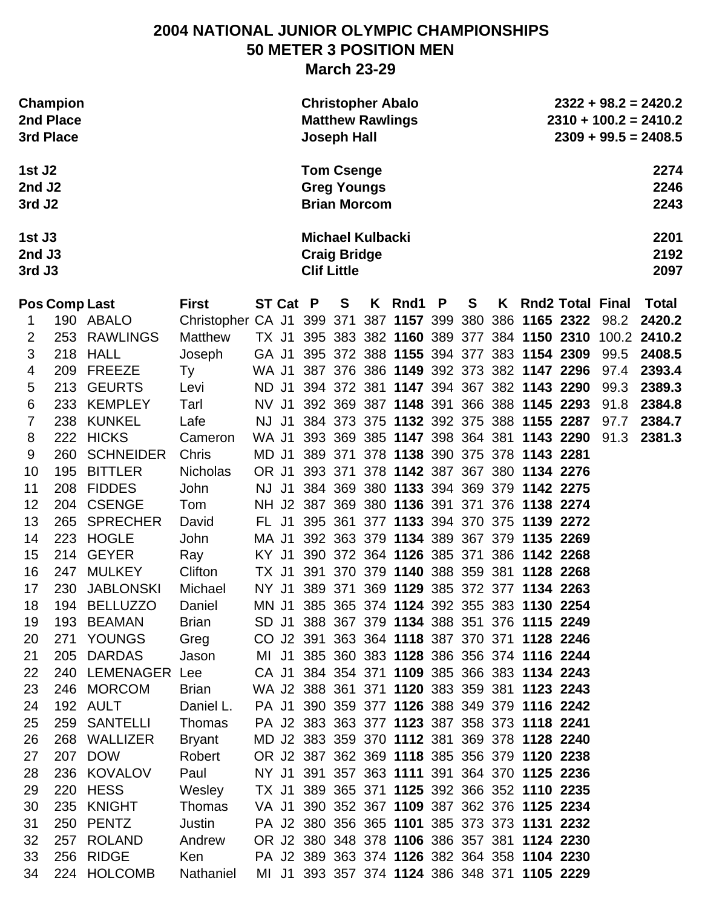## **2004 NATIONAL JUNIOR OLYMPIC CHAMPIONSHIPS 50 METER 3 POSITION MEN March 23-29**

| <b>Champion</b><br>2nd Place<br>3rd Place |                      |                  |                                             |       | <b>Christopher Abalo</b><br><b>Matthew Rawlings</b><br><b>Joseph Hall</b> |  |                                           |  |                                              | $2322 + 98.2 = 2420.2$<br>$2310 + 100.2 = 2410.2$<br>$2309 + 99.5 = 2408.5$ |   |  |                                                           |      |                                                           |
|-------------------------------------------|----------------------|------------------|---------------------------------------------|-------|---------------------------------------------------------------------------|--|-------------------------------------------|--|----------------------------------------------|-----------------------------------------------------------------------------|---|--|-----------------------------------------------------------|------|-----------------------------------------------------------|
| 1st J <sub>2</sub><br>2nd J2              |                      |                  |                                             |       |                                                                           |  | <b>Tom Csenge</b><br><b>Greg Youngs</b>   |  |                                              |                                                                             |   |  |                                                           |      | 2274<br>2246                                              |
| 3rd J <sub>2</sub>                        |                      |                  |                                             |       |                                                                           |  | <b>Brian Morcom</b>                       |  |                                              |                                                                             |   |  |                                                           |      | 2243                                                      |
| 1st J3                                    |                      |                  |                                             |       |                                                                           |  | <b>Michael Kulbacki</b>                   |  |                                              |                                                                             |   |  |                                                           |      | 2201                                                      |
| 2nd J3<br>3rd J3                          |                      |                  |                                             |       |                                                                           |  | <b>Craig Bridge</b><br><b>Clif Little</b> |  |                                              |                                                                             |   |  |                                                           |      | 2192<br>2097                                              |
|                                           |                      |                  |                                             |       |                                                                           |  |                                           |  |                                              |                                                                             |   |  |                                                           |      |                                                           |
|                                           | <b>Pos Comp Last</b> | 190 ABALO        | <b>First</b>                                |       | ST Cat P                                                                  |  | S                                         |  | K Rnd1 P                                     |                                                                             | S |  | K Rnd2 Total Final<br>387 1157 399 380 386 1165 2322 98.2 |      | <b>Total</b><br>2420.2                                    |
| 1                                         | 253                  | <b>RAWLINGS</b>  | Christopher CA J1 399 371<br><b>Matthew</b> |       |                                                                           |  |                                           |  |                                              |                                                                             |   |  |                                                           |      | TX J1 395 383 382 1160 389 377 384 1150 2310 100.2 2410.2 |
| 2<br>3                                    | 218                  | <b>HALL</b>      | Joseph                                      |       |                                                                           |  |                                           |  | GA J1 395 372 388 1155 394 377 383 1154 2309 |                                                                             |   |  |                                                           | 99.5 | 2408.5                                                    |
| 4                                         | 209                  | <b>FREEZE</b>    | Ty                                          |       |                                                                           |  |                                           |  | WA J1 387 376 386 1149 392 373 382 1147 2296 |                                                                             |   |  |                                                           | 97.4 | 2393.4                                                    |
| 5                                         | 213                  | <b>GEURTS</b>    | Levi                                        | ND J1 |                                                                           |  |                                           |  | 394 372 381 1147 394 367 382 1143 2290       |                                                                             |   |  |                                                           | 99.3 | 2389.3                                                    |
| 6                                         | 233                  | <b>KEMPLEY</b>   | Tarl                                        |       |                                                                           |  |                                           |  | NV J1 392 369 387 1148 391 366 388 1145 2293 |                                                                             |   |  |                                                           | 91.8 | 2384.8                                                    |
| 7                                         | 238                  | <b>KUNKEL</b>    | Lafe                                        |       | NJ J1                                                                     |  |                                           |  | 384 373 375 1132 392 375 388 1155 2287       |                                                                             |   |  |                                                           | 97.7 | 2384.7                                                    |
| 8                                         | 222                  | <b>HICKS</b>     | Cameron                                     | WA J1 |                                                                           |  |                                           |  | 393 369 385 1147 398 364 381 1143 2290       |                                                                             |   |  |                                                           | 91.3 | 2381.3                                                    |
| 9                                         | 260                  | <b>SCHNEIDER</b> | <b>Chris</b>                                |       |                                                                           |  |                                           |  | MD J1 389 371 378 1138 390 375 378 1143 2281 |                                                                             |   |  |                                                           |      |                                                           |
| 10                                        | 195                  | <b>BITTLER</b>   | <b>Nicholas</b>                             |       |                                                                           |  |                                           |  | OR J1 393 371 378 1142 387 367 380 1134 2276 |                                                                             |   |  |                                                           |      |                                                           |
| 11                                        | 208                  | <b>FIDDES</b>    | John                                        |       |                                                                           |  |                                           |  | NJ J1 384 369 380 1133 394 369 379 1142 2275 |                                                                             |   |  |                                                           |      |                                                           |
| 12                                        | 204                  | <b>CSENGE</b>    | Tom                                         |       |                                                                           |  |                                           |  | NH J2 387 369 380 1136 391 371 376 1138 2274 |                                                                             |   |  |                                                           |      |                                                           |
| 13                                        | 265                  | <b>SPRECHER</b>  | David                                       |       |                                                                           |  |                                           |  | FL J1 395 361 377 1133 394 370 375 1139 2272 |                                                                             |   |  |                                                           |      |                                                           |
| 14                                        | 223                  | <b>HOGLE</b>     | John                                        |       |                                                                           |  |                                           |  | MA J1 392 363 379 1134 389 367 379 1135 2269 |                                                                             |   |  |                                                           |      |                                                           |
| 15                                        | 214                  | <b>GEYER</b>     | Ray                                         |       |                                                                           |  |                                           |  | KY J1 390 372 364 1126 385 371 386 1142 2268 |                                                                             |   |  |                                                           |      |                                                           |
| 16                                        | 247                  | <b>MULKEY</b>    | Clifton                                     | TX J1 |                                                                           |  |                                           |  | 391 370 379 1140 388 359 381 1128 2268       |                                                                             |   |  |                                                           |      |                                                           |
| 17                                        | 230                  | <b>JABLONSKI</b> | Michael                                     |       |                                                                           |  |                                           |  | NY J1 389 371 369 1129 385 372 377 1134 2263 |                                                                             |   |  |                                                           |      |                                                           |
| 18                                        | 194                  | <b>BELLUZZO</b>  | Daniel                                      |       |                                                                           |  |                                           |  | MN J1 385 365 374 1124 392 355 383 1130 2254 |                                                                             |   |  |                                                           |      |                                                           |
| 19                                        |                      | 193 BEAMAN       | Brian                                       |       |                                                                           |  |                                           |  | SD J1 388 367 379 1134 388 351 376 1115 2249 |                                                                             |   |  |                                                           |      |                                                           |
| 20                                        | 271                  | YOUNGS           | Greg                                        |       |                                                                           |  |                                           |  | CO J2 391 363 364 1118 387 370 371 1128 2246 |                                                                             |   |  |                                                           |      |                                                           |
| 21                                        | 205                  | DARDAS           | Jason                                       |       |                                                                           |  |                                           |  | MI J1 385 360 383 1128 386 356 374 1116 2244 |                                                                             |   |  |                                                           |      |                                                           |
| 22                                        | 240                  | LEMENAGER Lee    |                                             |       |                                                                           |  |                                           |  | CA J1 384 354 371 1109 385 366 383 1134 2243 |                                                                             |   |  |                                                           |      |                                                           |
| 23                                        | 246                  | <b>MORCOM</b>    | Brian                                       |       |                                                                           |  |                                           |  | WA J2 388 361 371 1120 383 359 381 1123 2243 |                                                                             |   |  |                                                           |      |                                                           |
| 24                                        |                      | 192 AULT         | Daniel L.                                   |       |                                                                           |  |                                           |  | PA J1 390 359 377 1126 388 349 379 1116 2242 |                                                                             |   |  |                                                           |      |                                                           |
| 25                                        | 259                  | <b>SANTELLI</b>  | Thomas                                      |       |                                                                           |  |                                           |  | PA J2 383 363 377 1123 387 358 373 1118 2241 |                                                                             |   |  |                                                           |      |                                                           |
| 26                                        |                      | 268 WALLIZER     | <b>Bryant</b>                               |       |                                                                           |  |                                           |  | MD J2 383 359 370 1112 381 369 378 1128 2240 |                                                                             |   |  |                                                           |      |                                                           |
| 27                                        | 207                  | <b>DOW</b>       | Robert                                      |       |                                                                           |  |                                           |  | OR J2 387 362 369 1118 385 356 379 1120 2238 |                                                                             |   |  |                                                           |      |                                                           |
| 28                                        |                      | 236 KOVALOV      | Paul                                        |       |                                                                           |  |                                           |  | NY J1 391 357 363 1111 391 364 370 1125 2236 |                                                                             |   |  |                                                           |      |                                                           |
| 29                                        | 220                  | <b>HESS</b>      | Wesley                                      |       |                                                                           |  |                                           |  | TX J1 389 365 371 1125 392 366 352 1110 2235 |                                                                             |   |  |                                                           |      |                                                           |
| 30                                        | 235                  | <b>KNIGHT</b>    | Thomas                                      |       |                                                                           |  |                                           |  | VA J1 390 352 367 1109 387 362 376 1125 2234 |                                                                             |   |  |                                                           |      |                                                           |
| 31                                        | 250                  | <b>PENTZ</b>     | Justin                                      |       |                                                                           |  |                                           |  | PA J2 380 356 365 1101 385 373 373 1131 2232 |                                                                             |   |  |                                                           |      |                                                           |
| 32                                        | 257                  | <b>ROLAND</b>    | Andrew                                      |       |                                                                           |  |                                           |  | OR J2 380 348 378 1106 386 357 381 1124 2230 |                                                                             |   |  |                                                           |      |                                                           |
| 33                                        |                      | 256 RIDGE        | Ken                                         |       |                                                                           |  |                                           |  | PA J2 389 363 374 1126 382 364 358 1104 2230 |                                                                             |   |  |                                                           |      |                                                           |
| 34                                        | 224                  | <b>HOLCOMB</b>   | Nathaniel                                   |       |                                                                           |  |                                           |  | MI J1 393 357 374 1124 386 348 371 1105 2229 |                                                                             |   |  |                                                           |      |                                                           |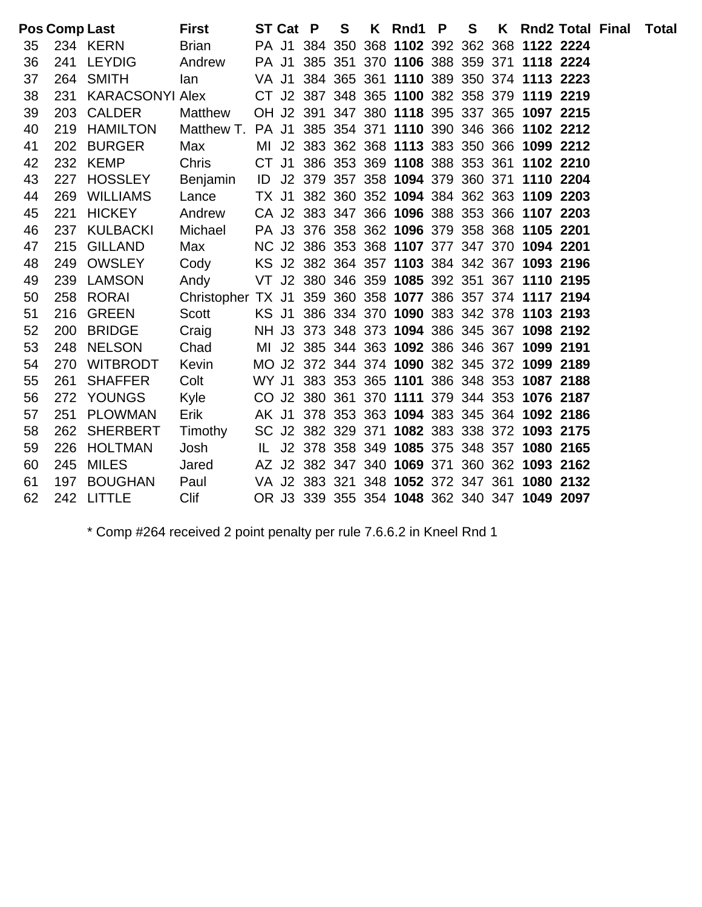|    |     | <b>Pos Comp Last</b>                                         | <b>First</b>                                             | ST Cat P |  | S | K Rnd1 P | S and the set of the set of the set of the set of the set of the set of the set of the set of the set of the set of the set of the set of the set of the set of the set of the set of the set of the set of the set of the set |                                              | K Rnd2 Total Final Total |  |
|----|-----|--------------------------------------------------------------|----------------------------------------------------------|----------|--|---|----------|--------------------------------------------------------------------------------------------------------------------------------------------------------------------------------------------------------------------------------|----------------------------------------------|--------------------------|--|
| 35 |     | 234 KERN                                                     | <b>Brian</b>                                             |          |  |   |          |                                                                                                                                                                                                                                | PA J1 384 350 368 1102 392 362 368 1122 2224 |                          |  |
| 36 |     | 241 LEYDIG                                                   | Andrew                                                   |          |  |   |          |                                                                                                                                                                                                                                | PA J1 385 351 370 1106 388 359 371 1118 2224 |                          |  |
| 37 | 264 | <b>SMITH</b>                                                 | lan                                                      |          |  |   |          |                                                                                                                                                                                                                                | VA J1 384 365 361 1110 389 350 374 1113 2223 |                          |  |
| 38 | 231 | KARACSONYI Alex CT J2 387 348 365 1100 382 358 379 1119 2219 |                                                          |          |  |   |          |                                                                                                                                                                                                                                |                                              |                          |  |
| 39 | 203 | <b>CALDER</b>                                                | Matthew                                                  |          |  |   |          |                                                                                                                                                                                                                                | OH J2 391 347 380 1118 395 337 365 1097 2215 |                          |  |
| 40 | 219 | <b>HAMILTON</b>                                              | Matthew T. PA J1 385 354 371 1110 390 346 366 1102 2212  |          |  |   |          |                                                                                                                                                                                                                                |                                              |                          |  |
| 41 |     | 202 BURGER                                                   | Max                                                      |          |  |   |          |                                                                                                                                                                                                                                | MI J2 383 362 368 1113 383 350 366 1099 2212 |                          |  |
| 42 |     | 232 KEMP                                                     | Chris CT J1 386 353 369 1108 388 353 361 1102 2210       |          |  |   |          |                                                                                                                                                                                                                                |                                              |                          |  |
| 43 | 227 | <b>HOSSLEY</b>                                               | Benjamin ID J2 379 357 358 1094 379 360 371 1110 2204    |          |  |   |          |                                                                                                                                                                                                                                |                                              |                          |  |
| 44 |     | 269 WILLIAMS                                                 | Lance TX J1 382 360 352 1094 384 362 363 1109 2203       |          |  |   |          |                                                                                                                                                                                                                                |                                              |                          |  |
| 45 | 221 | <b>HICKEY</b>                                                | Andrew                                                   |          |  |   |          |                                                                                                                                                                                                                                | CA J2 383 347 366 1096 388 353 366 1107 2203 |                          |  |
| 46 | 237 | <b>KULBACKI</b>                                              | Michael                                                  |          |  |   |          |                                                                                                                                                                                                                                | PA J3 376 358 362 1096 379 358 368 1105 2201 |                          |  |
| 47 | 215 | <b>GILLAND</b>                                               | Max                                                      |          |  |   |          |                                                                                                                                                                                                                                | NC J2 386 353 368 1107 377 347 370 1094 2201 |                          |  |
| 48 |     | 249 OWSLEY                                                   | Cody                                                     |          |  |   |          |                                                                                                                                                                                                                                | KS J2 382 364 357 1103 384 342 367 1093 2196 |                          |  |
| 49 |     | 239 LAMSON                                                   | Andy                                                     |          |  |   |          |                                                                                                                                                                                                                                | VT J2 380 346 359 1085 392 351 367 1110 2195 |                          |  |
| 50 | 258 | RORAI                                                        | Christopher TX J1 359 360 358 1077 386 357 374 1117 2194 |          |  |   |          |                                                                                                                                                                                                                                |                                              |                          |  |
| 51 |     | 216 GREEN                                                    | Scott                                                    |          |  |   |          |                                                                                                                                                                                                                                | KS J1 386 334 370 1090 383 342 378 1103 2193 |                          |  |
| 52 | 200 | <b>BRIDGE</b>                                                | Craig                                                    |          |  |   |          |                                                                                                                                                                                                                                | NH J3 373 348 373 1094 386 345 367 1098 2192 |                          |  |
| 53 | 248 | <b>NELSON</b>                                                | Chad MI J2 385 344 363 1092 386 346 367 1099 2191        |          |  |   |          |                                                                                                                                                                                                                                |                                              |                          |  |
| 54 | 270 | <b>WITBRODT</b>                                              | Kevin                                                    |          |  |   |          |                                                                                                                                                                                                                                | MO J2 372 344 374 1090 382 345 372 1099 2189 |                          |  |
| 55 | 261 | <b>SHAFFER</b>                                               | Colt                                                     |          |  |   |          |                                                                                                                                                                                                                                | WY J1 383 353 365 1101 386 348 353 1087 2188 |                          |  |
| 56 |     | 272 YOUNGS                                                   | Kyle                                                     |          |  |   |          |                                                                                                                                                                                                                                | CO J2 380 361 370 1111 379 344 353 1076 2187 |                          |  |
| 57 | 251 | <b>PLOWMAN</b>                                               | Erik                                                     |          |  |   |          |                                                                                                                                                                                                                                | AK J1 378 353 363 1094 383 345 364 1092 2186 |                          |  |
| 58 | 262 | <b>SHERBERT</b>                                              | Timothy                                                  |          |  |   |          |                                                                                                                                                                                                                                | SC J2 382 329 371 1082 383 338 372 1093 2175 |                          |  |
| 59 |     | 226 HOLTMAN                                                  | Josh                                                     |          |  |   |          |                                                                                                                                                                                                                                | IL J2 378 358 349 1085 375 348 357 1080 2165 |                          |  |
| 60 | 245 | <b>MILES</b>                                                 | Jared                                                    |          |  |   |          |                                                                                                                                                                                                                                | AZ J2 382 347 340 1069 371 360 362 1093 2162 |                          |  |
| 61 | 197 | <b>BOUGHAN</b>                                               | Paul                                                     |          |  |   |          |                                                                                                                                                                                                                                | VA J2 383 321 348 1052 372 347 361 1080 2132 |                          |  |
| 62 |     | 242 LITTLE                                                   | <b>Clif</b>                                              |          |  |   |          |                                                                                                                                                                                                                                | OR J3 339 355 354 1048 362 340 347 1049 2097 |                          |  |

\* Comp #264 received 2 point penalty per rule 7.6.6.2 in Kneel Rnd 1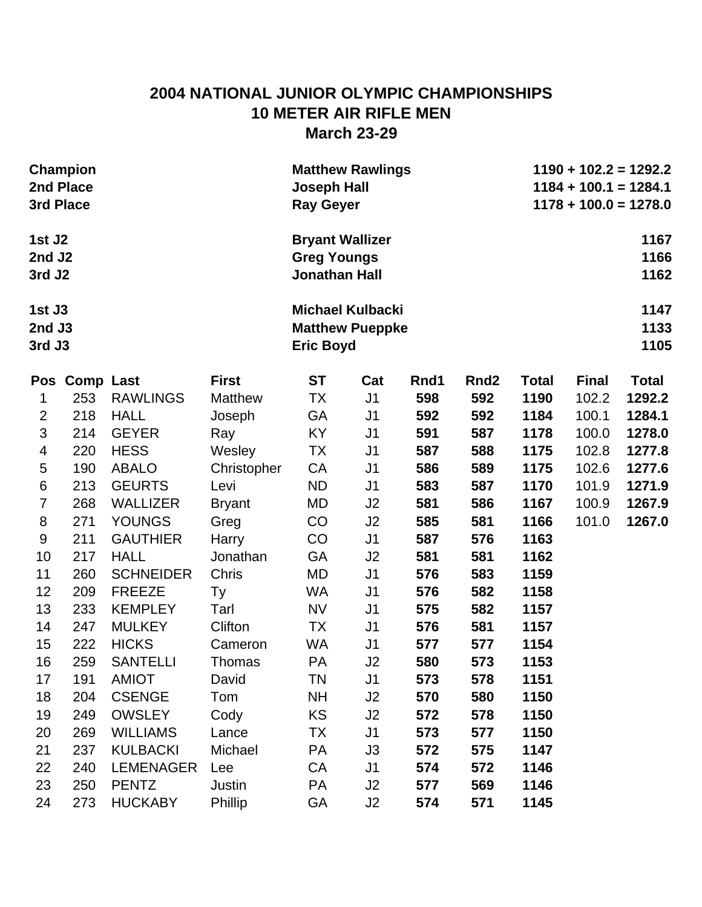# **2004 NATIONAL JUNIOR OLYMPIC CHAMPIONSHIPS 10 METER AIR RIFLE MEN March 23-29**

| 3rd Place                                          | Champion<br>2nd Place |                  |                | <b>Matthew Rawlings</b><br><b>Joseph Hall</b><br><b>Ray Geyer</b>     |                |      |                  | $1190 + 102.2 = 1292.2$<br>$1184 + 100.1 = 1284.1$<br>$1178 + 100.0 = 1278.0$ |              |                      |  |  |
|----------------------------------------------------|-----------------------|------------------|----------------|-----------------------------------------------------------------------|----------------|------|------------------|-------------------------------------------------------------------------------|--------------|----------------------|--|--|
| 1st J <sub>2</sub><br>2nd J2<br>3rd J <sub>2</sub> |                       |                  |                | <b>Bryant Wallizer</b><br><b>Greg Youngs</b><br><b>Jonathan Hall</b>  |                |      |                  |                                                                               |              | 1167<br>1166<br>1162 |  |  |
| 1st J3<br>2nd J3<br>3rd J3                         |                       |                  |                | <b>Michael Kulbacki</b><br><b>Matthew Pueppke</b><br><b>Eric Boyd</b> |                |      |                  |                                                                               |              | 1147<br>1133<br>1105 |  |  |
|                                                    | Pos Comp Last         |                  | <b>First</b>   | <b>ST</b>                                                             | Cat            | Rnd1 | Rnd <sub>2</sub> | <b>Total</b>                                                                  | <b>Final</b> | <b>Total</b>         |  |  |
| 1                                                  | 253                   | <b>RAWLINGS</b>  | <b>Matthew</b> | <b>TX</b>                                                             | J <sub>1</sub> | 598  | 592              | 1190                                                                          | 102.2        | 1292.2               |  |  |
| $\overline{2}$                                     | 218                   | <b>HALL</b>      | Joseph         | GА                                                                    | J <sub>1</sub> | 592  | 592              | 1184                                                                          | 100.1        | 1284.1               |  |  |
| 3                                                  | 214                   | <b>GEYER</b>     | Ray            | KY                                                                    | J <sub>1</sub> | 591  | 587              | 1178                                                                          | 100.0        | 1278.0               |  |  |
| $\overline{4}$                                     | 220                   | <b>HESS</b>      | Wesley         | TX                                                                    | J <sub>1</sub> | 587  | 588              | 1175                                                                          | 102.8        | 1277.8               |  |  |
| 5                                                  | 190                   | <b>ABALO</b>     | Christopher    | CA                                                                    | J <sub>1</sub> | 586  | 589              | 1175                                                                          | 102.6        | 1277.6               |  |  |
| $\,6$                                              | 213                   | <b>GEURTS</b>    | Levi           | <b>ND</b>                                                             | J <sub>1</sub> | 583  | 587              | 1170                                                                          | 101.9        | 1271.9               |  |  |
| $\overline{7}$                                     | 268                   | WALLIZER         | <b>Bryant</b>  | MD                                                                    | J2             | 581  | 586              | 1167                                                                          | 100.9        | 1267.9               |  |  |
| 8                                                  | 271                   | <b>YOUNGS</b>    | Greg           | CO                                                                    | J <sub>2</sub> | 585  | 581              | 1166                                                                          | 101.0        | 1267.0               |  |  |
| 9                                                  | 211                   | <b>GAUTHIER</b>  | Harry          | CO                                                                    | J <sub>1</sub> | 587  | 576              | 1163                                                                          |              |                      |  |  |
| 10                                                 | 217                   | <b>HALL</b>      | Jonathan       | GA                                                                    | J2             | 581  | 581              | 1162                                                                          |              |                      |  |  |
| 11                                                 | 260                   | <b>SCHNEIDER</b> | Chris          | MD                                                                    | J <sub>1</sub> | 576  | 583              | 1159                                                                          |              |                      |  |  |
| 12                                                 | 209                   | <b>FREEZE</b>    | Тy             | WA                                                                    | J <sub>1</sub> | 576  | 582              | 1158                                                                          |              |                      |  |  |
| 13                                                 | 233                   | <b>KEMPLEY</b>   | Tarl           | <b>NV</b>                                                             | J1             | 575  | 582              | 1157                                                                          |              |                      |  |  |
| 14                                                 | 247                   | <b>MULKEY</b>    | Clifton        | <b>TX</b>                                                             | J <sub>1</sub> | 576  | 581              | 1157                                                                          |              |                      |  |  |
| 15                                                 | 222                   | <b>HICKS</b>     | Cameron        | WA                                                                    | J <sub>1</sub> | 577  | 577              | 1154                                                                          |              |                      |  |  |
| 16                                                 | 259                   | <b>SANTELLI</b>  | Thomas         | PA                                                                    | J2             | 580  | 573              | 1153                                                                          |              |                      |  |  |
| 17                                                 | 191                   | <b>AMIOT</b>     | David          | ΤN                                                                    | J1             | 573  | 578              | 1151                                                                          |              |                      |  |  |
| 18                                                 | 204                   | <b>CSENGE</b>    | Tom            | <b>NH</b>                                                             | J2             | 570  | 580              | 1150                                                                          |              |                      |  |  |
| 19                                                 | 249                   | <b>OWSLEY</b>    | Cody           | KS                                                                    | J2             | 572  | 578              | 1150                                                                          |              |                      |  |  |
| 20                                                 | 269                   | <b>WILLIAMS</b>  | Lance          | TX                                                                    | J <sub>1</sub> | 573  | 577              | 1150                                                                          |              |                      |  |  |
| 21                                                 | 237                   | <b>KULBACKI</b>  | Michael        | PA                                                                    | J3             | 572  | 575              | 1147                                                                          |              |                      |  |  |
| 22                                                 | 240                   | <b>LEMENAGER</b> | Lee            | CA                                                                    | J <sub>1</sub> | 574  | 572              | 1146                                                                          |              |                      |  |  |
| 23                                                 | 250                   | <b>PENTZ</b>     | Justin         | PA                                                                    | J2             | 577  | 569              | 1146                                                                          |              |                      |  |  |
| 24                                                 | 273                   | <b>HUCKABY</b>   | Phillip        | GA                                                                    | J2             | 574  | 571              | 1145                                                                          |              |                      |  |  |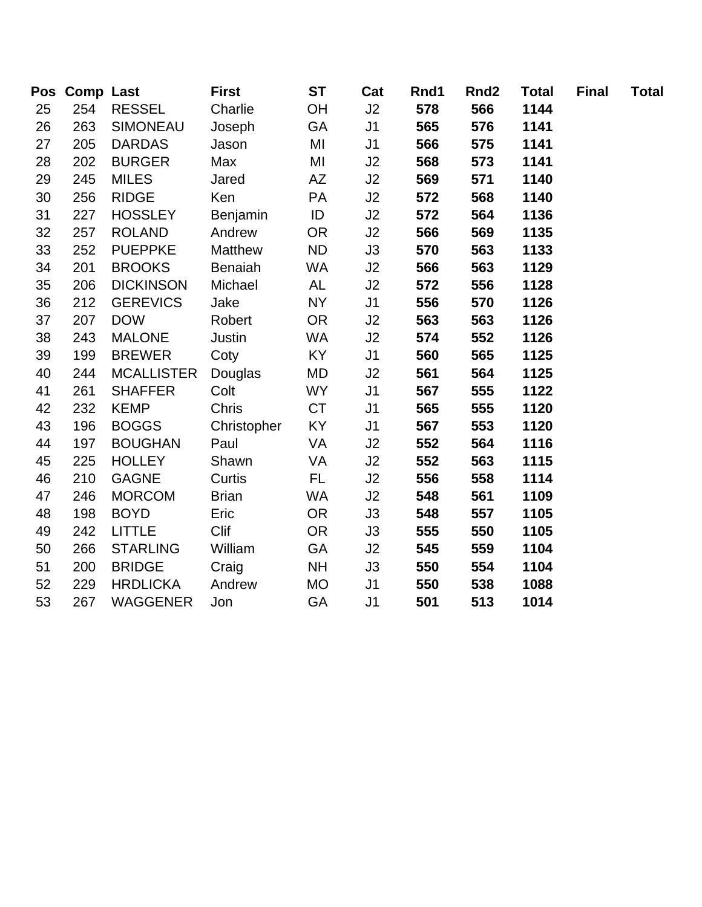|    | Pos Comp Last |                   | <b>First</b>   | <b>ST</b> | Cat            | Rnd1 | Rnd <sub>2</sub> | <b>Total</b> | <b>Final</b> | <b>Total</b> |
|----|---------------|-------------------|----------------|-----------|----------------|------|------------------|--------------|--------------|--------------|
| 25 | 254           | <b>RESSEL</b>     | Charlie        | <b>OH</b> | J2             | 578  | 566              | 1144         |              |              |
| 26 | 263           | <b>SIMONEAU</b>   | Joseph         | <b>GA</b> | J <sub>1</sub> | 565  | 576              | 1141         |              |              |
| 27 | 205           | <b>DARDAS</b>     | Jason          | MI        | J <sub>1</sub> | 566  | 575              | 1141         |              |              |
| 28 | 202           | <b>BURGER</b>     | Max            | MI        | J2             | 568  | 573              | 1141         |              |              |
| 29 | 245           | <b>MILES</b>      | Jared          | <b>AZ</b> | J2             | 569  | 571              | 1140         |              |              |
| 30 | 256           | <b>RIDGE</b>      | Ken            | <b>PA</b> | J2             | 572  | 568              | 1140         |              |              |
| 31 | 227           | <b>HOSSLEY</b>    | Benjamin       | ID        | J2             | 572  | 564              | 1136         |              |              |
| 32 | 257           | <b>ROLAND</b>     | Andrew         | <b>OR</b> | J2             | 566  | 569              | 1135         |              |              |
| 33 | 252           | <b>PUEPPKE</b>    | Matthew        | <b>ND</b> | J3             | 570  | 563              | 1133         |              |              |
| 34 | 201           | <b>BROOKS</b>     | <b>Benaiah</b> | <b>WA</b> | J2             | 566  | 563              | 1129         |              |              |
| 35 | 206           | <b>DICKINSON</b>  | Michael        | <b>AL</b> | J2             | 572  | 556              | 1128         |              |              |
| 36 | 212           | <b>GEREVICS</b>   | Jake           | <b>NY</b> | J <sub>1</sub> | 556  | 570              | 1126         |              |              |
| 37 | 207           | <b>DOW</b>        | Robert         | <b>OR</b> | J2             | 563  | 563              | 1126         |              |              |
| 38 | 243           | <b>MALONE</b>     | Justin         | WA        | J2             | 574  | 552              | 1126         |              |              |
| 39 | 199           | <b>BREWER</b>     | Coty           | <b>KY</b> | J <sub>1</sub> | 560  | 565              | 1125         |              |              |
| 40 | 244           | <b>MCALLISTER</b> | Douglas        | MD        | J2             | 561  | 564              | 1125         |              |              |
| 41 | 261           | <b>SHAFFER</b>    | Colt           | <b>WY</b> | J <sub>1</sub> | 567  | 555              | 1122         |              |              |
| 42 | 232           | <b>KEMP</b>       | <b>Chris</b>   | <b>CT</b> | J <sub>1</sub> | 565  | 555              | 1120         |              |              |
| 43 | 196           | <b>BOGGS</b>      | Christopher    | KY        | J <sub>1</sub> | 567  | 553              | 1120         |              |              |
| 44 | 197           | <b>BOUGHAN</b>    | Paul           | VA        | J2             | 552  | 564              | 1116         |              |              |
| 45 | 225           | <b>HOLLEY</b>     | Shawn          | VA        | J2             | 552  | 563              | 1115         |              |              |
| 46 | 210           | <b>GAGNE</b>      | Curtis         | <b>FL</b> | J2             | 556  | 558              | 1114         |              |              |
| 47 | 246           | <b>MORCOM</b>     | <b>Brian</b>   | <b>WA</b> | J2             | 548  | 561              | 1109         |              |              |
| 48 | 198           | <b>BOYD</b>       | Eric           | <b>OR</b> | J3             | 548  | 557              | 1105         |              |              |
| 49 | 242           | <b>LITTLE</b>     | Clif           | <b>OR</b> | J3             | 555  | 550              | 1105         |              |              |
| 50 | 266           | <b>STARLING</b>   | William        | <b>GA</b> | J2             | 545  | 559              | 1104         |              |              |
| 51 | 200           | <b>BRIDGE</b>     | Craig          | <b>NH</b> | J3             | 550  | 554              | 1104         |              |              |
| 52 | 229           | <b>HRDLICKA</b>   | Andrew         | <b>MO</b> | J <sub>1</sub> | 550  | 538              | 1088         |              |              |
| 53 | 267           | <b>WAGGENER</b>   | Jon            | <b>GA</b> | J <sub>1</sub> | 501  | 513              | 1014         |              |              |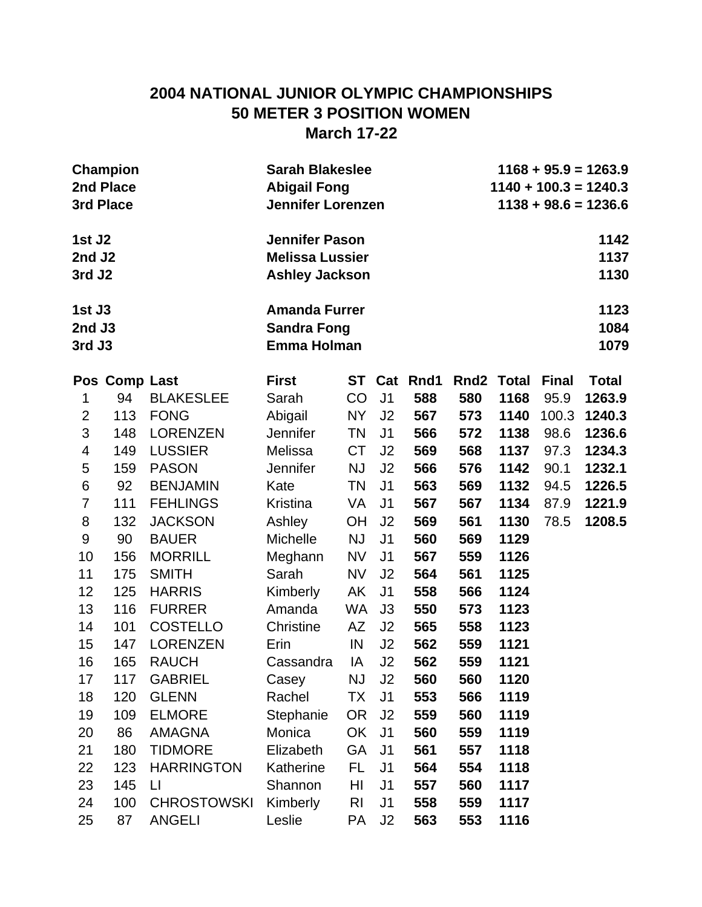# **2004 NATIONAL JUNIOR OLYMPIC CHAMPIONSHIPS 50 METER 3 POSITION WOMEN March 17-22**

|                                                                | Champion<br>2nd Place<br>3rd Place |                    | <b>Sarah Blakeslee</b><br>$1168 + 95.9 = 1263.9$<br><b>Abigail Fong</b><br>$1140 + 100.3 = 1240.3$<br><b>Jennifer Lorenzen</b><br>$1138 + 98.6 = 1236.6$ |                |                |      |                  |       |              |                      |
|----------------------------------------------------------------|------------------------------------|--------------------|----------------------------------------------------------------------------------------------------------------------------------------------------------|----------------|----------------|------|------------------|-------|--------------|----------------------|
| 1st J <sub>2</sub><br>2nd J <sub>2</sub><br>3rd J <sub>2</sub> |                                    |                    | <b>Jennifer Pason</b><br><b>Melissa Lussier</b><br><b>Ashley Jackson</b>                                                                                 |                |                |      |                  |       |              | 1142<br>1137<br>1130 |
| 1st J3<br>2nd J3<br>3rd J3                                     |                                    |                    | <b>Amanda Furrer</b><br><b>Sandra Fong</b><br><b>Emma Holman</b>                                                                                         |                |                |      |                  |       |              | 1123<br>1084<br>1079 |
|                                                                | Pos Comp Last                      |                    | <b>First</b>                                                                                                                                             |                | ST Cat         | Rnd1 | Rnd <sub>2</sub> | Total | <b>Final</b> | <b>Total</b>         |
| 1                                                              | 94                                 | <b>BLAKESLEE</b>   | Sarah                                                                                                                                                    | CO             | J <sub>1</sub> | 588  | 580              | 1168  | 95.9         | 1263.9               |
| $\overline{c}$                                                 | 113                                | <b>FONG</b>        | Abigail                                                                                                                                                  | <b>NY</b>      | J2             | 567  | 573              | 1140  | 100.3        | 1240.3               |
| 3                                                              | 148                                | <b>LORENZEN</b>    | Jennifer                                                                                                                                                 | <b>TN</b>      | J <sub>1</sub> | 566  | 572              | 1138  | 98.6         | 1236.6               |
| 4                                                              | 149                                | <b>LUSSIER</b>     | Melissa                                                                                                                                                  | <b>CT</b>      | J2             | 569  | 568              | 1137  | 97.3         | 1234.3               |
| 5                                                              | 159                                | <b>PASON</b>       | <b>Jennifer</b>                                                                                                                                          | <b>NJ</b>      | J2             | 566  | 576              | 1142  | 90.1         | 1232.1               |
| 6                                                              | 92                                 | <b>BENJAMIN</b>    | Kate                                                                                                                                                     | <b>TN</b>      | J <sub>1</sub> | 563  | 569              | 1132  | 94.5         | 1226.5               |
| $\overline{7}$                                                 | 111                                | <b>FEHLINGS</b>    | Kristina                                                                                                                                                 | VA             | J <sub>1</sub> | 567  | 567              | 1134  | 87.9         | 1221.9               |
| 8                                                              | 132                                | <b>JACKSON</b>     | Ashley                                                                                                                                                   | <b>OH</b>      | J2             | 569  | 561              | 1130  | 78.5         | 1208.5               |
| 9                                                              | 90                                 | <b>BAUER</b>       | Michelle                                                                                                                                                 | <b>NJ</b>      | J <sub>1</sub> | 560  | 569              | 1129  |              |                      |
| 10                                                             | 156                                | <b>MORRILL</b>     | Meghann                                                                                                                                                  | <b>NV</b>      | J <sub>1</sub> | 567  | 559              | 1126  |              |                      |
| 11                                                             | 175                                | <b>SMITH</b>       | Sarah                                                                                                                                                    | <b>NV</b>      | J <sub>2</sub> | 564  | 561              | 1125  |              |                      |
| 12                                                             | 125                                | <b>HARRIS</b>      | Kimberly                                                                                                                                                 | AK             | J <sub>1</sub> | 558  | 566              | 1124  |              |                      |
| 13                                                             | 116                                | <b>FURRER</b>      | Amanda                                                                                                                                                   | WA             | J3             | 550  | 573              | 1123  |              |                      |
| 14                                                             | 101                                | <b>COSTELLO</b>    | Christine                                                                                                                                                | AZ             | J2             | 565  | 558              | 1123  |              |                      |
| 15                                                             | 147                                | <b>LORENZEN</b>    | Erin                                                                                                                                                     | IN             | J2             | 562  | 559              | 1121  |              |                      |
| 16                                                             | 165                                | <b>RAUCH</b>       | Cassandra                                                                                                                                                | IA             | J2             | 562  | 559              | 1121  |              |                      |
| 17                                                             | 117                                | <b>GABRIEL</b>     | Casey                                                                                                                                                    | <b>NJ</b>      | J <sub>2</sub> | 560  | 560              | 1120  |              |                      |
| 18                                                             | 120                                | <b>GLENN</b>       | Rachel                                                                                                                                                   | TX             | J <sub>1</sub> | 553  | 566              | 1119  |              |                      |
| 19                                                             | 109                                | <b>ELMORE</b>      | Stephanie                                                                                                                                                | <b>OR</b>      | J2             | 559  | 560              | 1119  |              |                      |
| 20                                                             | 86                                 | <b>AMAGNA</b>      | Monica                                                                                                                                                   | OK             | J <sub>1</sub> | 560  | 559              | 1119  |              |                      |
| 21                                                             | 180                                | <b>TIDMORE</b>     | Elizabeth                                                                                                                                                | <b>GA</b>      | J <sub>1</sub> | 561  | 557              | 1118  |              |                      |
| 22                                                             | 123                                | <b>HARRINGTON</b>  | Katherine                                                                                                                                                | FL.            | J <sub>1</sub> | 564  | 554              | 1118  |              |                      |
| 23                                                             | 145                                | $\mathsf{L}$       | Shannon                                                                                                                                                  | HI             | J <sub>1</sub> | 557  | 560              | 1117  |              |                      |
| 24                                                             | 100                                | <b>CHROSTOWSKI</b> | Kimberly                                                                                                                                                 | R <sub>l</sub> | J <sub>1</sub> | 558  | 559              | 1117  |              |                      |
| 25                                                             | 87                                 | <b>ANGELI</b>      | Leslie                                                                                                                                                   | PA             | J2             | 563  | 553              | 1116  |              |                      |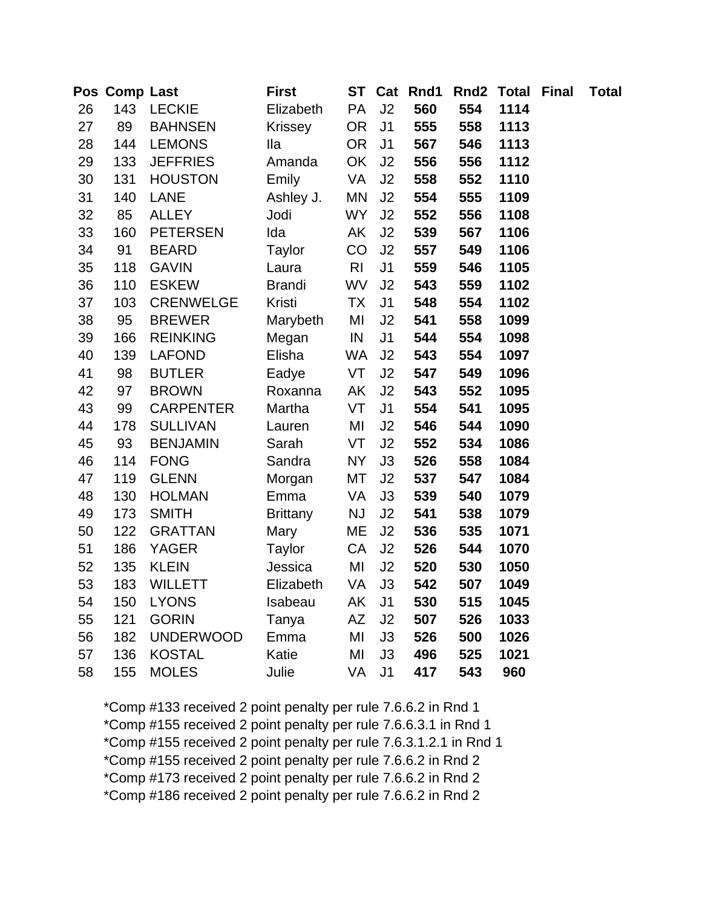|    | Pos Comp Last |                  | <b>First</b>    | <b>ST</b>      | Cat            | Rnd1 | Rnd <sub>2</sub> | <b>Total Final</b> | <b>Total</b> |
|----|---------------|------------------|-----------------|----------------|----------------|------|------------------|--------------------|--------------|
| 26 | 143           | <b>LECKIE</b>    | Elizabeth       | PA             | J2             | 560  | 554              | 1114               |              |
| 27 | 89            | <b>BAHNSEN</b>   | <b>Krissey</b>  | <b>OR</b>      | J <sub>1</sub> | 555  | 558              | 1113               |              |
| 28 | 144           | <b>LEMONS</b>    | <b>Ila</b>      | <b>OR</b>      | J <sub>1</sub> | 567  | 546              | 1113               |              |
| 29 | 133           | <b>JEFFRIES</b>  | Amanda          | OK             | J2             | 556  | 556              | 1112               |              |
| 30 | 131           | <b>HOUSTON</b>   | Emily           | VA             | J2             | 558  | 552              | 1110               |              |
| 31 | 140           | <b>LANE</b>      | Ashley J.       | MN             | J2             | 554  | 555              | 1109               |              |
| 32 | 85            | <b>ALLEY</b>     | Jodi            | <b>WY</b>      | J2             | 552  | 556              | 1108               |              |
| 33 | 160           | <b>PETERSEN</b>  | Ida             | AK             | J2             | 539  | 567              | 1106               |              |
| 34 | 91            | <b>BEARD</b>     | <b>Taylor</b>   | CO             | J2             | 557  | 549              | 1106               |              |
| 35 | 118           | <b>GAVIN</b>     | Laura           | R <sub>l</sub> | J <sub>1</sub> | 559  | 546              | 1105               |              |
| 36 | 110           | <b>ESKEW</b>     | <b>Brandi</b>   | <b>WV</b>      | J2             | 543  | 559              | 1102               |              |
| 37 | 103           | <b>CRENWELGE</b> | Kristi          | <b>TX</b>      | J <sub>1</sub> | 548  | 554              | 1102               |              |
| 38 | 95            | <b>BREWER</b>    | Marybeth        | MI             | J2             | 541  | 558              | 1099               |              |
| 39 | 166           | <b>REINKING</b>  | Megan           | ${\sf IN}$     | J <sub>1</sub> | 544  | 554              | 1098               |              |
| 40 | 139           | <b>LAFOND</b>    | Elisha          | WA             | J2             | 543  | 554              | 1097               |              |
| 41 | 98            | <b>BUTLER</b>    | Eadye           | VT             | J2             | 547  | 549              | 1096               |              |
| 42 | 97            | <b>BROWN</b>     | Roxanna         | AK             | J2             | 543  | 552              | 1095               |              |
| 43 | 99            | <b>CARPENTER</b> | Martha          | VT             | J <sub>1</sub> | 554  | 541              | 1095               |              |
| 44 | 178           | <b>SULLIVAN</b>  | Lauren          | MI             | J2             | 546  | 544              | 1090               |              |
| 45 | 93            | <b>BENJAMIN</b>  | Sarah           | VT             | J2             | 552  | 534              | 1086               |              |
| 46 | 114           | <b>FONG</b>      | Sandra          | <b>NY</b>      | J3             | 526  | 558              | 1084               |              |
| 47 | 119           | <b>GLENN</b>     | Morgan          | МT             | J2             | 537  | 547              | 1084               |              |
| 48 | 130           | <b>HOLMAN</b>    | Emma            | VA             | J3             | 539  | 540              | 1079               |              |
| 49 | 173           | <b>SMITH</b>     | <b>Brittany</b> | <b>NJ</b>      | J2             | 541  | 538              | 1079               |              |
| 50 | 122           | <b>GRATTAN</b>   | Mary            | ME             | J2             | 536  | 535              | 1071               |              |
| 51 | 186           | <b>YAGER</b>     | <b>Taylor</b>   | CA             | J2             | 526  | 544              | 1070               |              |
| 52 | 135           | <b>KLEIN</b>     | Jessica         | MI             | J2             | 520  | 530              | 1050               |              |
| 53 | 183           | <b>WILLETT</b>   | Elizabeth       | VA             | J3             | 542  | 507              | 1049               |              |
| 54 | 150           | <b>LYONS</b>     | Isabeau         | AK             | J1             | 530  | 515              | 1045               |              |
| 55 | 121           | <b>GORIN</b>     | Tanya           | AZ             | J2             | 507  | 526              | 1033               |              |
| 56 | 182           | <b>UNDERWOOD</b> | Emma            | MI             | J3             | 526  | 500              | 1026               |              |
| 57 | 136           | <b>KOSTAL</b>    | Katie           | MI             | J3             | 496  | 525              | 1021               |              |
| 58 | 155           | <b>MOLES</b>     | Julie           | VA             | J <sub>1</sub> | 417  | 543              | 960                |              |

\*Comp #133 received 2 point penalty per rule 7.6.6.2 in Rnd 1 \*Comp #155 received 2 point penalty per rule 7.6.6.3.1 in Rnd 1 \*Comp #155 received 2 point penalty per rule 7.6.3.1.2.1 in Rnd 1 \*Comp #155 received 2 point penalty per rule 7.6.6.2 in Rnd 2 \*Comp #173 received 2 point penalty per rule 7.6.6.2 in Rnd 2 \*Comp #186 received 2 point penalty per rule 7.6.6.2 in Rnd 2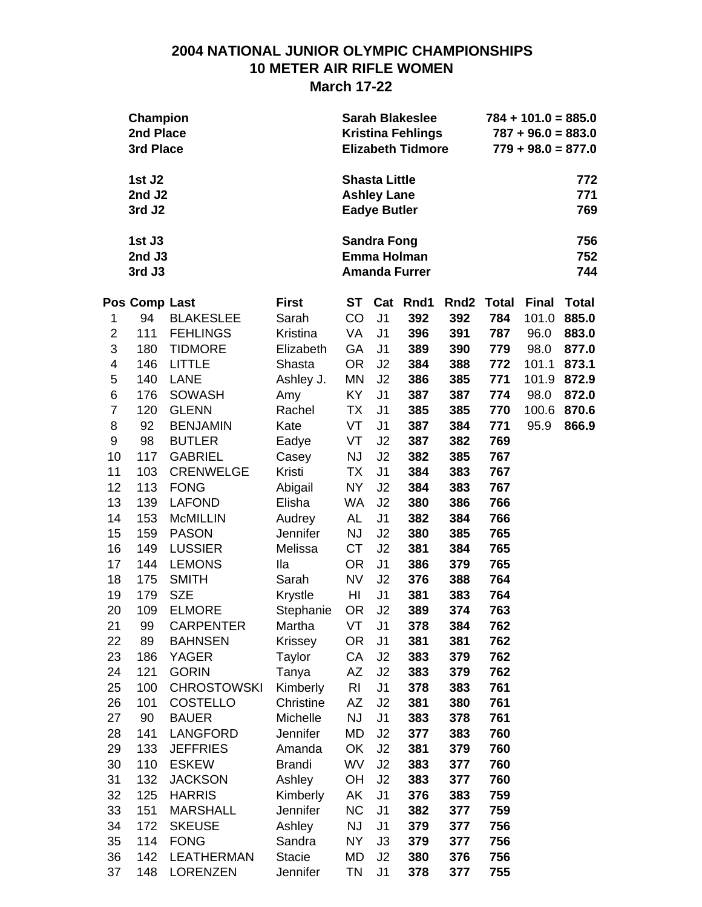#### **2004 NATIONAL JUNIOR OLYMPIC CHAMPIONSHIPS 10 METER AIR RIFLE WOMEN March 17-22**

|                | Champion<br>2nd Place<br>3rd Place |                    |                 |           |                                                                   | <b>Sarah Blakeslee</b><br><b>Kristina Fehlings</b><br><b>Elizabeth Tidmore</b> |                  | $784 + 101.0 = 885.0$<br>$787 + 96.0 = 883.0$<br>$779 + 98.0 = 877.0$ |              |                   |
|----------------|------------------------------------|--------------------|-----------------|-----------|-------------------------------------------------------------------|--------------------------------------------------------------------------------|------------------|-----------------------------------------------------------------------|--------------|-------------------|
|                | 1st J2<br>2nd J2<br>3rd J2         |                    |                 |           | <b>Shasta Little</b><br><b>Ashley Lane</b><br><b>Eadye Butler</b> |                                                                                |                  |                                                                       |              | 772<br>771<br>769 |
|                | 1st J3<br>$2nd$ J $3$<br>3rd J3    |                    |                 |           | <b>Sandra Fong</b>                                                | <b>Emma Holman</b><br><b>Amanda Furrer</b>                                     |                  |                                                                       |              | 756<br>752<br>744 |
|                | Pos Comp Last                      |                    | <b>First</b>    | <b>ST</b> | Cat                                                               | Rnd1                                                                           | Rnd <sub>2</sub> | <b>Total</b>                                                          | <b>Final</b> | <b>Total</b>      |
| 1              | 94                                 | <b>BLAKESLEE</b>   | Sarah           | CO        | J <sub>1</sub>                                                    | 392                                                                            | 392              | 784                                                                   | 101.0        | 885.0             |
| $\overline{2}$ | 111                                | <b>FEHLINGS</b>    | Kristina        | VA        | J <sub>1</sub>                                                    | 396                                                                            | 391              | 787                                                                   | 96.0         | 883.0             |
| 3              | 180                                | <b>TIDMORE</b>     | Elizabeth       | GA        | J <sub>1</sub>                                                    | 389                                                                            | 390              | 779                                                                   | 98.0         | 877.0             |
| 4              | 146                                | <b>LITTLE</b>      | Shasta          | OR.       | J2                                                                | 384                                                                            | 388              | 772                                                                   | 101.1        | 873.1             |
| 5              | 140                                | <b>LANE</b>        | Ashley J.       | <b>MN</b> | J2                                                                | 386                                                                            | 385              | 771                                                                   | 101.9        | 872.9             |
| 6              | 176                                | <b>SOWASH</b>      | Amy             | KY        | J <sub>1</sub>                                                    | 387                                                                            | 387              | 774                                                                   | 98.0         | 872.0             |
| 7              | 120                                | <b>GLENN</b>       | Rachel          | <b>TX</b> | J <sub>1</sub>                                                    | 385                                                                            | 385              | 770                                                                   | 100.6        | 870.6             |
| 8              | 92                                 | <b>BENJAMIN</b>    | Kate            | VT        | J <sub>1</sub>                                                    | 387                                                                            | 384              | 771                                                                   | 95.9         | 866.9             |
| 9              | 98                                 | <b>BUTLER</b>      | Eadye           | VT        | J <sub>2</sub>                                                    | 387                                                                            | 382              | 769                                                                   |              |                   |
| 10             | 117                                | <b>GABRIEL</b>     | Casey           | <b>NJ</b> | J2                                                                | 382                                                                            | 385              | 767                                                                   |              |                   |
| 11             | 103                                | <b>CRENWELGE</b>   | Kristi          | <b>TX</b> | J <sub>1</sub>                                                    | 384                                                                            | 383              | 767                                                                   |              |                   |
| 12             | 113                                | <b>FONG</b>        | Abigail         | <b>NY</b> | J2                                                                | 384                                                                            | 383              | 767                                                                   |              |                   |
| 13             | 139                                | <b>LAFOND</b>      | Elisha          | WA        | J2                                                                | 380                                                                            | 386              | 766                                                                   |              |                   |
| 14             | 153                                | <b>McMILLIN</b>    | Audrey          | AL        | J <sub>1</sub>                                                    | 382                                                                            | 384              | 766                                                                   |              |                   |
| 15             | 159                                | <b>PASON</b>       | Jennifer        | <b>NJ</b> | J2                                                                | 380                                                                            | 385              | 765                                                                   |              |                   |
| 16             | 149                                | <b>LUSSIER</b>     | Melissa         | <b>CT</b> | J2                                                                | 381                                                                            | 384              | 765                                                                   |              |                   |
| 17             | 144                                | <b>LEMONS</b>      | lla             | OR.       | J <sub>1</sub>                                                    | 386                                                                            | 379              | 765                                                                   |              |                   |
| 18             | 175                                | <b>SMITH</b>       | Sarah           | NV        | J2                                                                | 376                                                                            | 388              | 764                                                                   |              |                   |
| 19             | 179                                | <b>SZE</b>         | Krystle         | HI        | J <sub>1</sub>                                                    | 381                                                                            | 383              | 764                                                                   |              |                   |
| 20             | 109                                | <b>ELMORE</b>      | Stephanie       | <b>OR</b> | J2                                                                | 389                                                                            | 374              | 763                                                                   |              |                   |
| 21             | 99                                 | <b>CARPENTER</b>   | Martha          | VT        | J <sub>1</sub>                                                    | 378                                                                            | 384              | 762                                                                   |              |                   |
| 22             | 89                                 | <b>BAHNSEN</b>     | Krissey         | <b>OR</b> | J <sub>1</sub>                                                    | 381                                                                            | 381              | 762                                                                   |              |                   |
| 23             | 186                                | <b>YAGER</b>       | Taylor          | CA        | J2                                                                | 383                                                                            | 379              | 762                                                                   |              |                   |
| 24             | 121                                | <b>GORIN</b>       | Tanya           | ΑZ        | J2                                                                | 383                                                                            | 379              | 762                                                                   |              |                   |
| 25             | 100                                | <b>CHROSTOWSKI</b> | Kimberly        | <b>RI</b> | J <sub>1</sub>                                                    | 378                                                                            | 383              | 761                                                                   |              |                   |
| 26             | 101                                | COSTELLO           | Christine       | AΖ        | J2                                                                | 381                                                                            | 380              | 761                                                                   |              |                   |
| 27             | 90                                 | <b>BAUER</b>       | Michelle        | <b>NJ</b> | J <sub>1</sub>                                                    | 383                                                                            | 378              | 761                                                                   |              |                   |
| 28             | 141                                | <b>LANGFORD</b>    | <b>Jennifer</b> | MD        | J2                                                                | 377                                                                            | 383              | 760                                                                   |              |                   |
| 29             | 133                                | <b>JEFFRIES</b>    | Amanda          | OK        | J2                                                                | 381                                                                            | 379              | 760                                                                   |              |                   |
| 30             | 110                                | <b>ESKEW</b>       | <b>Brandi</b>   | <b>WV</b> | J2                                                                | 383                                                                            | 377              | 760                                                                   |              |                   |
| 31             | 132                                | <b>JACKSON</b>     | Ashley          | OH        | J2                                                                | 383                                                                            | 377              | 760                                                                   |              |                   |
| 32             | 125                                | <b>HARRIS</b>      | Kimberly        | AK        | J <sub>1</sub>                                                    | 376                                                                            | 383              | 759                                                                   |              |                   |
| 33             | 151                                | <b>MARSHALL</b>    | Jennifer        | <b>NC</b> | J <sub>1</sub>                                                    | 382                                                                            | 377              | 759                                                                   |              |                   |
| 34             | 172                                | <b>SKEUSE</b>      | Ashley          | <b>NJ</b> | J1                                                                | 379                                                                            | 377              | 756                                                                   |              |                   |
| 35             | 114                                | <b>FONG</b>        | Sandra          | NY.       | J3                                                                | 379                                                                            | 377              | 756                                                                   |              |                   |
| 36             | 142                                | <b>LEATHERMAN</b>  | <b>Stacie</b>   | MD        | J2                                                                | 380                                                                            | 376              | 756                                                                   |              |                   |
| 37             | 148                                | LORENZEN           | Jennifer        | <b>TN</b> | J <sub>1</sub>                                                    | 378                                                                            | 377              | 755                                                                   |              |                   |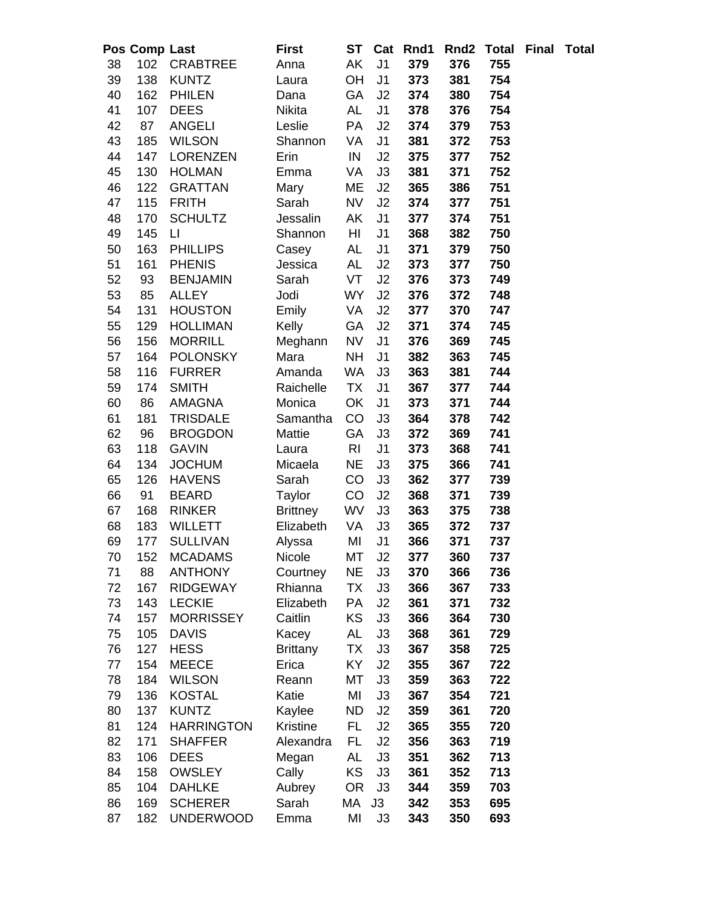|    | Pos Comp Last |                   | <b>First</b>    | <b>ST</b> |                | Cat Rnd1 | Rnd2 Total |     | <b>Final</b> | <b>Total</b> |
|----|---------------|-------------------|-----------------|-----------|----------------|----------|------------|-----|--------------|--------------|
| 38 | 102           | <b>CRABTREE</b>   | Anna            | AK        | J <sub>1</sub> | 379      | 376        | 755 |              |              |
| 39 | 138           | <b>KUNTZ</b>      | Laura           | <b>OH</b> | J <sub>1</sub> | 373      | 381        | 754 |              |              |
| 40 | 162           | <b>PHILEN</b>     | Dana            | GA        | J2             | 374      | 380        | 754 |              |              |
| 41 | 107           | <b>DEES</b>       | <b>Nikita</b>   | AL        | J <sub>1</sub> | 378      | 376        | 754 |              |              |
| 42 | 87            | <b>ANGELI</b>     | Leslie          | PA        | J2             | 374      | 379        | 753 |              |              |
| 43 | 185           | <b>WILSON</b>     | Shannon         | VA        | J <sub>1</sub> | 381      | 372        | 753 |              |              |
| 44 | 147           | <b>LORENZEN</b>   | Erin            | IN        | J2             | 375      | 377        | 752 |              |              |
| 45 | 130           | <b>HOLMAN</b>     | Emma            | VA        | J3             | 381      | 371        | 752 |              |              |
| 46 | 122           | <b>GRATTAN</b>    | Mary            | ME        | J2             | 365      | 386        | 751 |              |              |
| 47 | 115           | <b>FRITH</b>      | Sarah           | <b>NV</b> | J2             | 374      | 377        | 751 |              |              |
| 48 | 170           | <b>SCHULTZ</b>    | Jessalin        | AK        | J1             | 377      | 374        | 751 |              |              |
| 49 | 145           | $\Box$            | Shannon         | HI        | J <sub>1</sub> | 368      | 382        | 750 |              |              |
| 50 | 163           | <b>PHILLIPS</b>   | Casey           | AL        | J <sub>1</sub> | 371      | 379        | 750 |              |              |
| 51 | 161           | <b>PHENIS</b>     | Jessica         | AL        | J2             | 373      | 377        | 750 |              |              |
| 52 | 93            | <b>BENJAMIN</b>   | Sarah           | VT        | J2             | 376      | 373        | 749 |              |              |
| 53 | 85            | <b>ALLEY</b>      | Jodi            | <b>WY</b> | J2             | 376      | 372        | 748 |              |              |
| 54 | 131           | <b>HOUSTON</b>    | Emily           | VA        | J2             | 377      | 370        | 747 |              |              |
| 55 | 129           | <b>HOLLIMAN</b>   | Kelly           | GA        | J2             | 371      | 374        | 745 |              |              |
| 56 | 156           | <b>MORRILL</b>    | Meghann         | <b>NV</b> | J1             | 376      | 369        | 745 |              |              |
| 57 | 164           | <b>POLONSKY</b>   | Mara            | <b>NH</b> | J <sub>1</sub> | 382      | 363        | 745 |              |              |
| 58 | 116           | <b>FURRER</b>     | Amanda          | WA        | J3             | 363      | 381        | 744 |              |              |
| 59 | 174           | <b>SMITH</b>      | Raichelle       | TX        | J <sub>1</sub> | 367      | 377        | 744 |              |              |
| 60 | 86            | AMAGNA            | Monica          | OK        | J1             | 373      | 371        | 744 |              |              |
| 61 | 181           | <b>TRISDALE</b>   | Samantha        | CO        | J3             | 364      | 378        | 742 |              |              |
| 62 | 96            | <b>BROGDON</b>    | Mattie          | GA        | J3             | 372      | 369        | 741 |              |              |
| 63 | 118           | <b>GAVIN</b>      | Laura           | RI        | J <sub>1</sub> | 373      | 368        | 741 |              |              |
| 64 | 134           | <b>JOCHUM</b>     | Micaela         | <b>NE</b> | J3             | 375      | 366        | 741 |              |              |
| 65 | 126           | <b>HAVENS</b>     | Sarah           | CO        | J3             | 362      | 377        | 739 |              |              |
| 66 | 91            | <b>BEARD</b>      | Taylor          | CO        | J2             | 368      | 371        | 739 |              |              |
| 67 | 168           | <b>RINKER</b>     | <b>Brittney</b> | <b>WV</b> | J3             | 363      | 375        | 738 |              |              |
| 68 | 183           | <b>WILLETT</b>    | Elizabeth       | VA        | J3             | 365      | 372        | 737 |              |              |
| 69 | 177           | <b>SULLIVAN</b>   | Alyssa          | MI        | J1             | 366      | 371        | 737 |              |              |
| 70 | 152           | <b>MCADAMS</b>    | Nicole          |           | $MT$ J2        | 377      | 360        | 737 |              |              |
| 71 | 88            | <b>ANTHONY</b>    | Courtney        | <b>NE</b> | J3             | 370      | 366        | 736 |              |              |
| 72 | 167           | <b>RIDGEWAY</b>   | Rhianna         | TX        | J3             | 366      | 367        | 733 |              |              |
| 73 | 143           | <b>LECKIE</b>     | Elizabeth       | PA        | J2             | 361      | 371        | 732 |              |              |
| 74 | 157           | <b>MORRISSEY</b>  | Caitlin         | ΚS        | J3             | 366      | 364        | 730 |              |              |
| 75 | 105           | <b>DAVIS</b>      | Kacey           | AL        | J3             | 368      | 361        | 729 |              |              |
| 76 | 127           | <b>HESS</b>       | <b>Brittany</b> | TX        | J3             | 367      | 358        | 725 |              |              |
| 77 | 154           | <b>MEECE</b>      | Erica           | KY        | J2             | 355      | 367        | 722 |              |              |
| 78 | 184           | <b>WILSON</b>     | Reann           | МT        | J3             | 359      | 363        | 722 |              |              |
| 79 | 136           | <b>KOSTAL</b>     | Katie           | MI        | J3             | 367      | 354        | 721 |              |              |
| 80 | 137           | <b>KUNTZ</b>      | Kaylee          | <b>ND</b> | J2             | 359      | 361        | 720 |              |              |
| 81 | 124           | <b>HARRINGTON</b> | <b>Kristine</b> | FL.       | J2             | 365      | 355        | 720 |              |              |
| 82 | 171           | <b>SHAFFER</b>    | Alexandra       | FL.       | J2             | 356      | 363        | 719 |              |              |
| 83 | 106           | <b>DEES</b>       | Megan           | AL        | J3             | 351      | 362        | 713 |              |              |
| 84 | 158           | <b>OWSLEY</b>     | Cally           | KS        | J3             | 361      | 352        | 713 |              |              |
| 85 | 104           | <b>DAHLKE</b>     | Aubrey          | <b>OR</b> | J3             | 344      | 359        | 703 |              |              |
| 86 | 169           | <b>SCHERER</b>    | Sarah           | МA        | J3             | 342      | 353        | 695 |              |              |
| 87 | 182           | <b>UNDERWOOD</b>  | Emma            | MI        | J3             | 343      | 350        | 693 |              |              |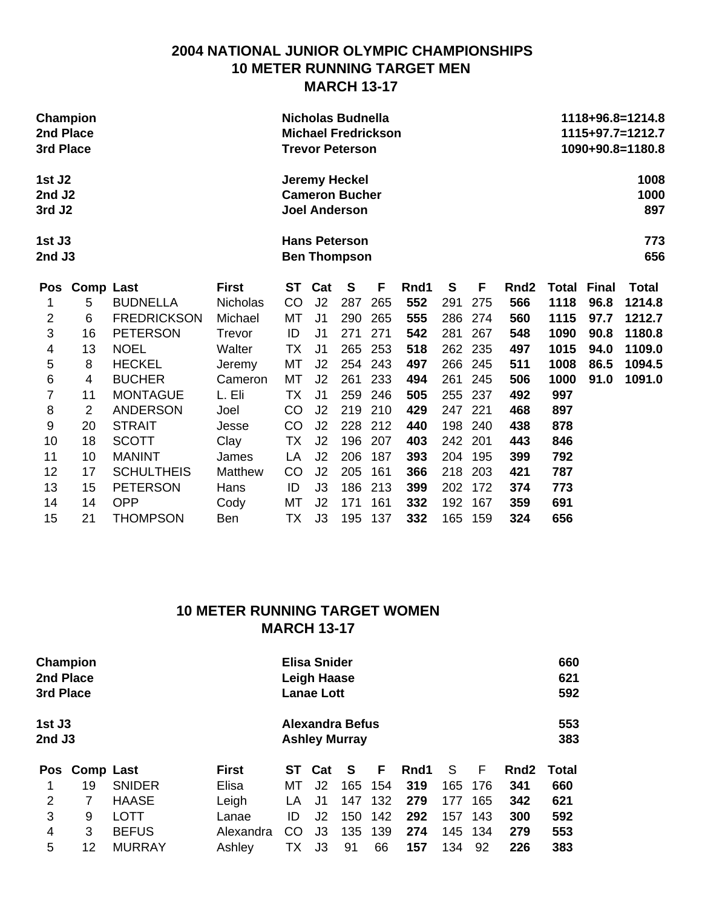#### **2004 NATIONAL JUNIOR OLYMPIC CHAMPIONSHIPS 10 METER RUNNING TARGET MEN MARCH 13-17**

| Champion<br>2nd Place<br>3rd Place |                  |                    |                 |                                             | <b>Nicholas Budnella</b><br><b>Michael Fredrickson</b><br><b>Trevor Peterson</b> |                                                                       |     |      |     |     |                  | 1118+96.8=1214.8<br>$1115+97.7=1212.7$<br>1090+90.8=1180.8 |              |                     |  |  |
|------------------------------------|------------------|--------------------|-----------------|---------------------------------------------|----------------------------------------------------------------------------------|-----------------------------------------------------------------------|-----|------|-----|-----|------------------|------------------------------------------------------------|--------------|---------------------|--|--|
| 1st J2<br>2nd J2<br>3rd J2         |                  |                    |                 |                                             |                                                                                  | <b>Jeremy Heckel</b><br><b>Cameron Bucher</b><br><b>Joel Anderson</b> |     |      |     |     |                  |                                                            |              | 1008<br>1000<br>897 |  |  |
|                                    | 1st J3<br>2nd J3 |                    |                 | <b>Hans Peterson</b><br><b>Ben Thompson</b> |                                                                                  |                                                                       |     |      |     |     |                  |                                                            |              | 773<br>656          |  |  |
| Pos                                | <b>Comp Last</b> |                    | <b>First</b>    | <b>ST</b>                                   | Cat                                                                              | S                                                                     | F   | Rnd1 | S   | F   | Rnd <sub>2</sub> | Total                                                      | <b>Final</b> | <b>Total</b>        |  |  |
| 1                                  | 5                | <b>BUDNELLA</b>    | <b>Nicholas</b> | CO                                          | J2                                                                               | 287                                                                   | 265 | 552  | 291 | 275 | 566              | 1118                                                       | 96.8         | 1214.8              |  |  |
| $\overline{2}$                     | 6                | <b>FREDRICKSON</b> | Michael         | MT                                          | J <sub>1</sub>                                                                   | 290                                                                   | 265 | 555  | 286 | 274 | 560              | 1115                                                       | 97.7         | 1212.7              |  |  |
| 3                                  | 16               | <b>PETERSON</b>    | Trevor          | ID                                          | J <sub>1</sub>                                                                   | 271                                                                   | 271 | 542  | 281 | 267 | 548              | 1090                                                       | 90.8         | 1180.8              |  |  |
| 4                                  | 13               | <b>NOEL</b>        | Walter          | ТX                                          | J1                                                                               | 265                                                                   | 253 | 518  | 262 | 235 | 497              | 1015                                                       | 94.0         | 1109.0              |  |  |
| 5                                  | 8                | <b>HECKEL</b>      | Jeremy          | MT                                          | J2                                                                               | 254                                                                   | 243 | 497  | 266 | 245 | 511              | 1008                                                       | 86.5         | 1094.5              |  |  |
| 6                                  | 4                | <b>BUCHER</b>      | Cameron         | MT                                          | J2                                                                               | 261                                                                   | 233 | 494  | 261 | 245 | 506              | 1000                                                       | 91.0         | 1091.0              |  |  |
| 7                                  | 11               | <b>MONTAGUE</b>    | L. Eli          | TX                                          | J <sub>1</sub>                                                                   | 259                                                                   | 246 | 505  | 255 | 237 | 492              | 997                                                        |              |                     |  |  |
| 8                                  | $\overline{2}$   | <b>ANDERSON</b>    | Joel            | CO                                          | J2                                                                               | 219                                                                   | 210 | 429  | 247 | 221 | 468              | 897                                                        |              |                     |  |  |
| 9                                  | 20               | <b>STRAIT</b>      | Jesse           | CO                                          | J2                                                                               | 228                                                                   | 212 | 440  | 198 | 240 | 438              | 878                                                        |              |                     |  |  |
| 10                                 | 18               | <b>SCOTT</b>       | Clay            | ТX                                          | J2                                                                               | 196                                                                   | 207 | 403  | 242 | 201 | 443              | 846                                                        |              |                     |  |  |
| 11                                 | 10               | <b>MANINT</b>      | James           | LA                                          | J2                                                                               | 206                                                                   | 187 | 393  | 204 | 195 | 399              | 792                                                        |              |                     |  |  |
| 12                                 | 17               | <b>SCHULTHEIS</b>  | Matthew         | CO                                          | J <sub>2</sub>                                                                   | 205                                                                   | 161 | 366  | 218 | 203 | 421              | 787                                                        |              |                     |  |  |
| 13                                 | 15               | <b>PETERSON</b>    | Hans            | ID                                          | J3                                                                               | 186                                                                   | 213 | 399  | 202 | 172 | 374              | 773                                                        |              |                     |  |  |
| 14                                 | 14               | <b>OPP</b>         | Cody            | MT                                          | J2                                                                               | 171                                                                   | 161 | 332  | 192 | 167 | 359              | 691                                                        |              |                     |  |  |
| 15                                 | 21               | <b>THOMPSON</b>    | Ben             | ТX                                          | J3                                                                               | 195                                                                   | 137 | 332  | 165 | 159 | 324              | 656                                                        |              |                     |  |  |

### **10 METER RUNNING TARGET WOMEN MARCH 13-17**

|                | Champion<br>2nd Place<br>3rd Place |               |              |                                                | Elisa Snider<br><b>Leigh Haase</b><br><b>Lanae Lott</b> |            |     |      |     |     |                  |       |  |  |
|----------------|------------------------------------|---------------|--------------|------------------------------------------------|---------------------------------------------------------|------------|-----|------|-----|-----|------------------|-------|--|--|
|                | 1st J3<br>$2nd$ J $3$              |               |              | <b>Alexandra Befus</b><br><b>Ashley Murray</b> |                                                         | 553<br>383 |     |      |     |     |                  |       |  |  |
| <b>Pos</b>     | Comp Last                          |               | <b>First</b> | SТ                                             | Cat                                                     | S          | F   | Rnd1 | S   | F   | Rnd <sub>2</sub> | Total |  |  |
|                | 19                                 | <b>SNIDER</b> | Elisa        | МT                                             | J2                                                      | 165        | 154 | 319  | 165 | 176 | 341              | 660   |  |  |
| $\overline{2}$ | 7                                  | <b>HAASE</b>  | Leigh        | LA                                             | J1                                                      | 147        | 132 | 279  | 177 | 165 | 342              | 621   |  |  |
| 3              | 9                                  | LOTT          | Lanae        | ID                                             | J2                                                      | 150        | 142 | 292  | 157 | 143 | 300              | 592   |  |  |
| 4              | 3                                  | <b>BEFUS</b>  | Alexandra    | CO                                             | J3                                                      | 135        | 139 | 274  | 145 | 134 | 279              | 553   |  |  |
| 5              | 12                                 | <b>MURRAY</b> | Ashley       | TХ                                             | JЗ                                                      | 91         | 66  | 157  | 134 | 92  | 226              | 383   |  |  |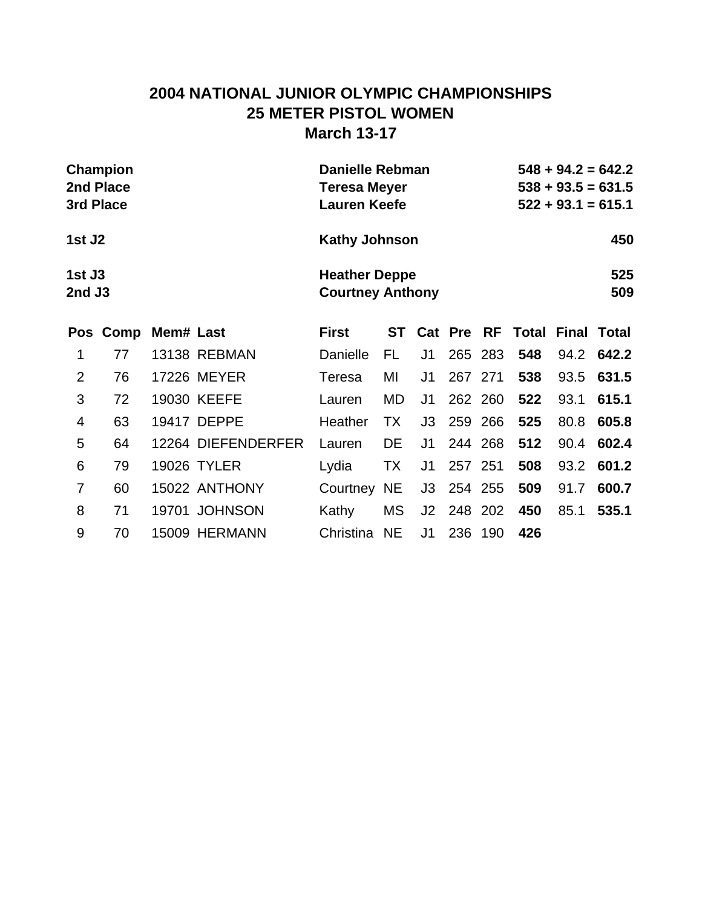## **2004 NATIONAL JUNIOR OLYMPIC CHAMPIONSHIPS 25 METER PISTOL WOMEN March 13-17**

| 2nd Place<br>3rd Place | Champion |           | <b>Danielle Rebman</b><br><b>Teresa Meyer</b><br><b>Lauren Keefe</b> |                                                 | $548 + 94.2 = 642.2$<br>$538 + 93.5 = 631.5$<br>$522 + 93.1 = 615.1$ |                |            |         |     |                          |            |
|------------------------|----------|-----------|----------------------------------------------------------------------|-------------------------------------------------|----------------------------------------------------------------------|----------------|------------|---------|-----|--------------------------|------------|
| 1st J2                 |          |           |                                                                      | <b>Kathy Johnson</b>                            |                                                                      |                |            |         |     |                          | 450        |
| 1st J3<br>2nd J3       |          |           |                                                                      | <b>Heather Deppe</b><br><b>Courtney Anthony</b> |                                                                      |                |            |         |     |                          | 525<br>509 |
|                        | Pos Comp | Mem# Last |                                                                      | <b>First</b>                                    | <b>ST</b>                                                            |                | Cat Pre RF |         |     | <b>Total Final Total</b> |            |
| 1                      | 77       |           | <b>13138 REBMAN</b>                                                  | Danielle                                        | FL                                                                   | J <sub>1</sub> | 265        | 283     | 548 | 94.2                     | 642.2      |
| $\overline{2}$         | 76       |           | 17226 MEYER                                                          | <b>Teresa</b>                                   | ΜI                                                                   | J1             |            | 267 271 | 538 | 93.5                     | 631.5      |
| 3                      | 72       |           | 19030 KEEFE                                                          | Lauren                                          | MD                                                                   | J <sub>1</sub> |            | 262 260 | 522 | 93.1                     | 615.1      |
| 4                      | 63       |           | 19417 DEPPE                                                          | Heather                                         | TX                                                                   | J3             | 259        | 266     | 525 | 80.8                     | 605.8      |
| 5                      | 64       |           | 12264 DIEFENDERFER                                                   | Lauren                                          | <b>DE</b>                                                            | J1             |            | 244 268 | 512 | 90.4                     | 602.4      |
| 6                      | 79       |           | 19026 TYLER                                                          | Lydia                                           | TX                                                                   | J <sub>1</sub> | 257 251    |         | 508 | 93.2                     | 601.2      |
| $\overline{7}$         | 60       |           | 15022 ANTHONY                                                        | Courtney                                        | <b>NE</b>                                                            | J3             |            | 254 255 | 509 | 91.7                     | 600.7      |
| 8                      | 71       |           | 19701 JOHNSON                                                        | Kathy                                           | MS                                                                   | J2             | 248        | 202     | 450 | 85.1                     | 535.1      |
| 9                      | 70       |           | 15009 HERMANN                                                        | Christina                                       | <b>NE</b>                                                            | J1             | 236        | 190     | 426 |                          |            |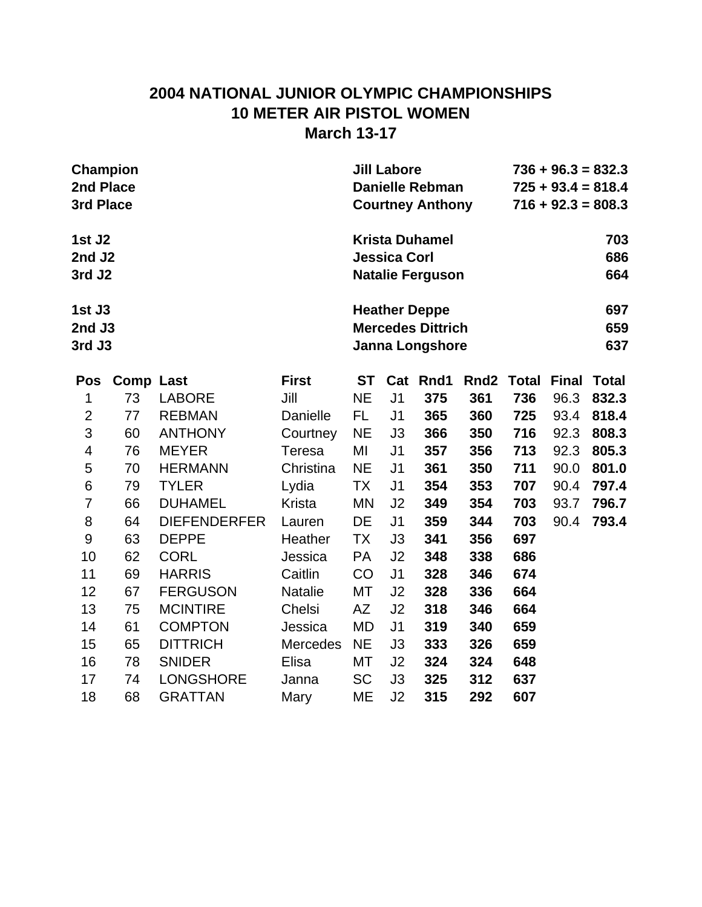# **2004 NATIONAL JUNIOR OLYMPIC CHAMPIONSHIPS 10 METER AIR PISTOL WOMEN March 13-17**

| Champion           | <b>Jill Labore</b>       | $736 + 96.3 = 832.3$ |
|--------------------|--------------------------|----------------------|
| 2nd Place          | <b>Danielle Rebman</b>   | $725 + 93.4 = 818.4$ |
| 3rd Place          | <b>Courtney Anthony</b>  | $716 + 92.3 = 808.3$ |
| 1st J <sub>2</sub> | <b>Krista Duhamel</b>    | 703                  |
| 2nd J2             | <b>Jessica Corl</b>      | 686                  |
| 3rd J <sub>2</sub> | <b>Natalie Ferguson</b>  | 664                  |
| 1st J3             | <b>Heather Deppe</b>     | 697                  |
| $2nd$ J3           | <b>Mercedes Dittrich</b> | 659                  |
| 3rd J3             | Janna Longshore          | 637                  |
|                    |                          |                      |

| Pos            | Comp Last |                     | <b>First</b>    | ST        | Cat            | Rnd1 | Rnd2 | Total |      | <b>Final Total</b> |
|----------------|-----------|---------------------|-----------------|-----------|----------------|------|------|-------|------|--------------------|
| 1              | 73        | <b>LABORE</b>       | Jill            | <b>NE</b> | J <sub>1</sub> | 375  | 361  | 736   | 96.3 | 832.3              |
| $\overline{2}$ | 77        | <b>REBMAN</b>       | <b>Danielle</b> | FL        | J <sub>1</sub> | 365  | 360  | 725   | 93.4 | 818.4              |
| 3              | 60        | <b>ANTHONY</b>      | Courtney        | <b>NE</b> | J3             | 366  | 350  | 716   | 92.3 | 808.3              |
| 4              | 76        | <b>MEYER</b>        | <b>Teresa</b>   | MI        | J <sub>1</sub> | 357  | 356  | 713   | 92.3 | 805.3              |
| 5              | 70        | <b>HERMANN</b>      | Christina       | <b>NE</b> | J <sub>1</sub> | 361  | 350  | 711   | 90.0 | 801.0              |
| 6              | 79        | <b>TYLER</b>        | Lydia           | TX        | J <sub>1</sub> | 354  | 353  | 707   | 90.4 | 797.4              |
| 7              | 66        | <b>DUHAMEL</b>      | Krista          | ΜN        | J2             | 349  | 354  | 703   | 93.7 | 796.7              |
| 8              | 64        | <b>DIEFENDERFER</b> | Lauren          | DE        | J <sub>1</sub> | 359  | 344  | 703   | 90.4 | 793.4              |
| 9              | 63        | <b>DEPPE</b>        | Heather         | TX        | J3             | 341  | 356  | 697   |      |                    |
| 10             | 62        | <b>CORL</b>         | Jessica         | PA        | J2             | 348  | 338  | 686   |      |                    |
| 11             | 69        | <b>HARRIS</b>       | Caitlin         | CO        | J <sub>1</sub> | 328  | 346  | 674   |      |                    |
| 12             | 67        | <b>FERGUSON</b>     | <b>Natalie</b>  | МT        | J <sub>2</sub> | 328  | 336  | 664   |      |                    |
| 13             | 75        | <b>MCINTIRE</b>     | Chelsi          | AZ        | J2             | 318  | 346  | 664   |      |                    |
| 14             | 61        | <b>COMPTON</b>      | Jessica         | MD        | J1             | 319  | 340  | 659   |      |                    |
| 15             | 65        | <b>DITTRICH</b>     | <b>Mercedes</b> | NE        | J3             | 333  | 326  | 659   |      |                    |
| 16             | 78        | <b>SNIDER</b>       | Elisa           | МT        | J <sub>2</sub> | 324  | 324  | 648   |      |                    |
| 17             | 74        | <b>LONGSHORE</b>    | Janna           | <b>SC</b> | J3             | 325  | 312  | 637   |      |                    |
| 18             | 68        | <b>GRATTAN</b>      | Mary            | <b>ME</b> | J <sub>2</sub> | 315  | 292  | 607   |      |                    |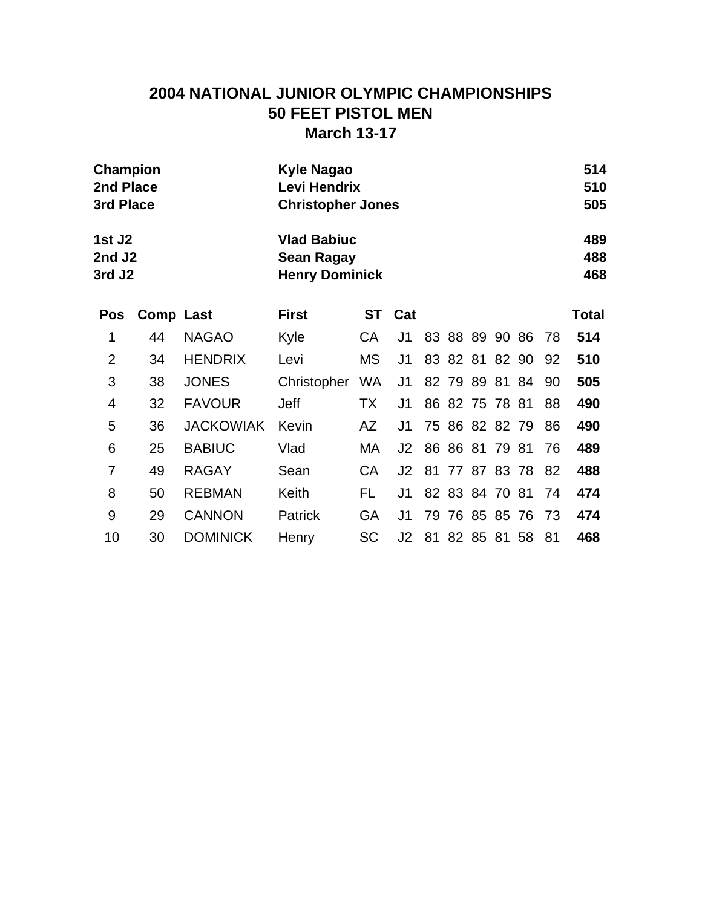## **2004 NATIONAL JUNIOR OLYMPIC CHAMPIONSHIPS 50 FEET PISTOL MEN March 13-17**

| Champion<br>2nd Place<br>3rd Place     |                  |                  | Kyle Nagao<br>Levi Hendrix<br><b>Christopher Jones</b>           |           |                |    |                |       |       |  |    |              |
|----------------------------------------|------------------|------------------|------------------------------------------------------------------|-----------|----------------|----|----------------|-------|-------|--|----|--------------|
| 1st J2<br>2nd J2<br>3rd J <sub>2</sub> |                  |                  | <b>Vlad Babiuc</b><br><b>Sean Ragay</b><br><b>Henry Dominick</b> |           |                |    |                |       |       |  |    |              |
| <b>Pos</b>                             | <b>Comp Last</b> |                  | <b>First</b>                                                     | ST        | Cat            |    |                |       |       |  |    | <b>Total</b> |
| 1                                      | 44               | <b>NAGAO</b>     | Kyle                                                             | СA        | J1             |    | 83 88 89       |       | 90 86 |  | 78 | 514          |
| 2                                      | 34               | <b>HENDRIX</b>   | Levi                                                             | <b>MS</b> | J1             |    | 83 82 81 82 90 |       |       |  | 92 | 510          |
| 3                                      | 38               | <b>JONES</b>     | Christopher                                                      | WA.       | J1             |    | 82 79 89 81 84 |       |       |  | 90 | 505          |
| 4                                      | 32               | <b>FAVOUR</b>    | Jeff                                                             | TX        | J1             |    | 86 82 75 78 81 |       |       |  | 88 | 490          |
| 5                                      | 36               | <b>JACKOWIAK</b> | Kevin                                                            | AZ        | J1             |    | 75 86 82 82 79 |       |       |  | 86 | 490          |
| 6                                      | 25               | <b>BABIUC</b>    | Vlad                                                             | MA.       | J2             |    | 86 86 81 79 81 |       |       |  | 76 | 489          |
| 7                                      | 49               | <b>RAGAY</b>     | Sean                                                             | CA        | J <sub>2</sub> | 81 |                | 77 87 | 83 78 |  | 82 | 488          |
| 8                                      | 50               | <b>REBMAN</b>    | Keith                                                            | FL        | J1             |    | 82 83 84 70 81 |       |       |  | 74 | 474          |

9 29 CANNON Patrick GA J1 79 76 85 85 76 73 **474** 10 30 DOMINICK Henry SC J2 81 82 85 81 58 81 **468**